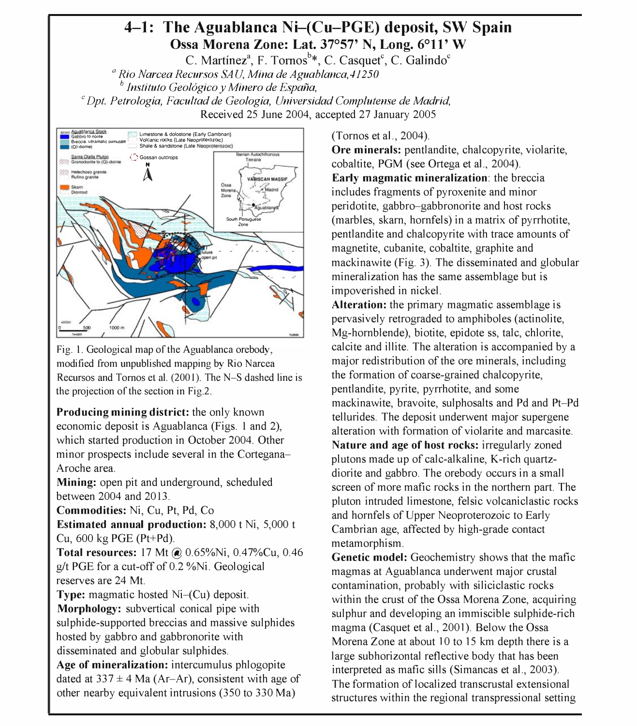## 4-1: The Aguablanca Ni-(Cu-PGE) deposit, SW Spain Ossa Morena Zone: Lat. 37°57' N, Long. 6°11' W

C. Martínez<sup>a</sup>, F. Tornos<sup>b\*</sup>, C. Casquet<sup>c</sup>, C. Galindo<sup>c</sup>

 $a<sup>a</sup>$  Rio Narcea Recursos SAU, Mina de Aguablanca, 41250

 $\mathcal I$  Instituto Geologico y Minero de España, cl Azazona, Spain e Salamanca, Spain e Salamanca, Spain e Spain

 $^c$  Dpt. Petrologia, Facultad de Geologia, Universidad Complutense de Madrid, Received 25 June 2004, accepted 27 January 2005



Fig. 1. Geological map of the Aguablanca orebody, modified from unpublished mapping by Rio Narcea Recursos and Tornos et al. (2001). The N-S dashed line is the projection of the section in Fig.2.

Producing mining district: the only known economic deposit is Aguablanca (Figs. 1 and 2), which started production in October 2004. Other minor prospects include several in the Cortegana-Aroche area.

Mining: open pit and underground, scheduled between 2004 and 2013.

Commodities: Ni, Cu, Pt, Pd, Co

Estimated annual production: 8,000 t Ni, 5,000 t Cu, 600 kg PGE (Pt+Pd).

Total resources: 17 Mt @ 0.65%Ni, 0.47%Cu, 0.46 g/t PGE for a cut-off of 0.2 %Ni. Geological reserves are 24 Mt.

Type: magmatic hosted Ni-(Cu) deposit. Morphology: subvertical conical pipe with sulphide-supported breccias and massive sulphides hosted by gabbro and gabbronorite with disseminated and globular sulphides. Age of mineralization: intercumulus phlogopite dated at  $337 \pm 4$  Ma (Ar-Ar), consistent with age of

other nearby equivalent intrusions (350 to 330 Ma)

(Tornos et aI., 2004).

 $\overline{\mathbf{C}}$ Shale & sandstone (Late Neoproterozoic)<br>Santa Clarla Fludon (Carla Chipperson Late Neoproterozoic)<br>Santa Clarla Fludon (Carla Chipperson Late Neoproterozoic) cobaltite, PGM (see Ortega et aI., 2004). Early magmatic mineralization: the breccia includes fragments of pyroxenite and minor peridotite, gabbro-gabbronorite and host rocks (marbles, skarn, hornfels) in a matrix of pyrrhotite, pentlandite and chalcopyrite with trace amounts of magnetite, cubanite, cobaltite, graphite and mackinawite (Fig. 3). The disseminated and globular mineralization has the same assemblage but is impoverished in nickel.

> Alteration: the primary magmatic assemblage is pervasively retrograded to amphiboles (actinolite, Mg-hornblende), biotite, epidote ss, talc, chlorite, calcite and illite. The alteration is accompanied by a major redistribution of the ore minerals, including the formation of coarse-grained chalcopyrite, pentlandite, pyrite, pyrrhotite, and some mackinawite, bravoite, sulphosalts and Pd and Pt-Pd tellurides. The deposit underwent major supergene alteration with formation of violarite and marcasite. Nature and age of host rocks: irregularly zoned plutons made up of calc-alkaline, K-rich quartzdiorite and gabbro. The orebody occurs in a small screen of more mafic rocks in the northern part. The pluton intruded limestone, felsic volcaniclastic rocks and hornfels of Upper Neoproterozoic to Early Cambrian age, affected by high-grade contact metamorphism.

> Genetic model: Geochemistry shows that the mafic magmas at Aguablanca underwent major crustal contamination, probably with siliciclastic rocks within the crust of the Ossa Morena Zone, acquiring sulphur and developing an immiscible sulphide-rich magma (Casquet et aI., 2001). Below the Ossa Morena Zone at about 10 to 15 km depth there is a large subhorizontal reflective body that has been interpreted as mafic sills (Simancas et aI., 2003). The formation of localized transcrustal extensional structures within the regional transpressional setting